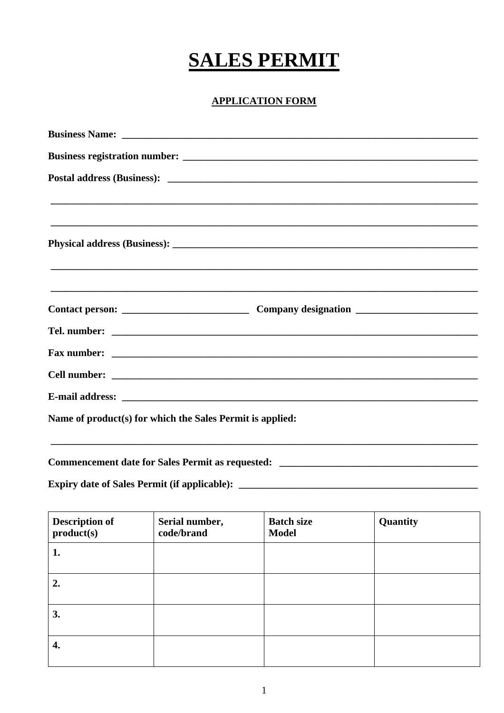## **SALES PERMIT**

## **APPLICATION FORM**

|                                                           | ,我们也不会有什么?""我们的人,我们也不会有什么?""我们的人,我们也不会有什么?""我们的人,我们也不会有什么?""我们的人,我们也不会有什么?""我们的人 |
|-----------------------------------------------------------|----------------------------------------------------------------------------------|
|                                                           |                                                                                  |
|                                                           |                                                                                  |
|                                                           |                                                                                  |
|                                                           |                                                                                  |
|                                                           |                                                                                  |
|                                                           |                                                                                  |
| Name of product(s) for which the Sales Permit is applied: |                                                                                  |
|                                                           |                                                                                  |

| <b>Description of</b><br>product(s) | Serial number,<br>code/brand | <b>Batch size</b><br><b>Model</b> | Quantity |
|-------------------------------------|------------------------------|-----------------------------------|----------|
| 1.                                  |                              |                                   |          |
| 2.                                  |                              |                                   |          |
| 3.                                  |                              |                                   |          |
| 4.                                  |                              |                                   |          |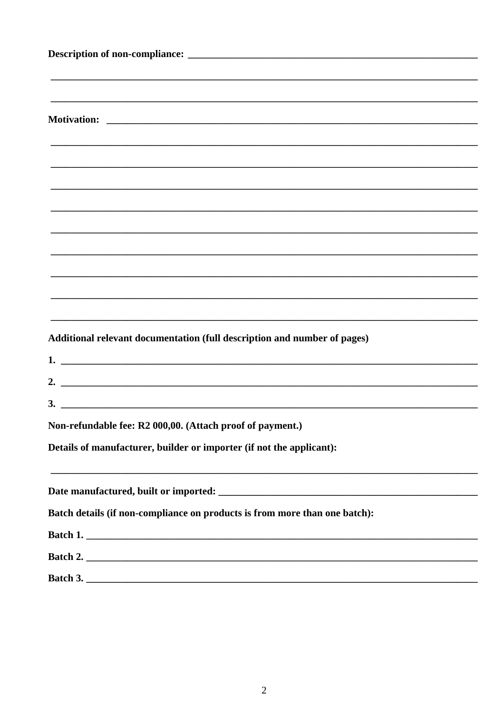| Additional relevant documentation (full description and number of pages)   |  |  |
|----------------------------------------------------------------------------|--|--|
|                                                                            |  |  |
| 2. $\overline{\phantom{a}}$                                                |  |  |
| $3.$ $\overline{\phantom{a}}$                                              |  |  |
| Non-refundable fee: R2 000,00. (Attach proof of payment.)                  |  |  |
| Details of manufacturer, builder or importer (if not the applicant):       |  |  |
|                                                                            |  |  |
|                                                                            |  |  |
| Batch details (if non-compliance on products is from more than one batch): |  |  |
|                                                                            |  |  |
| Batch 2.                                                                   |  |  |
|                                                                            |  |  |
|                                                                            |  |  |